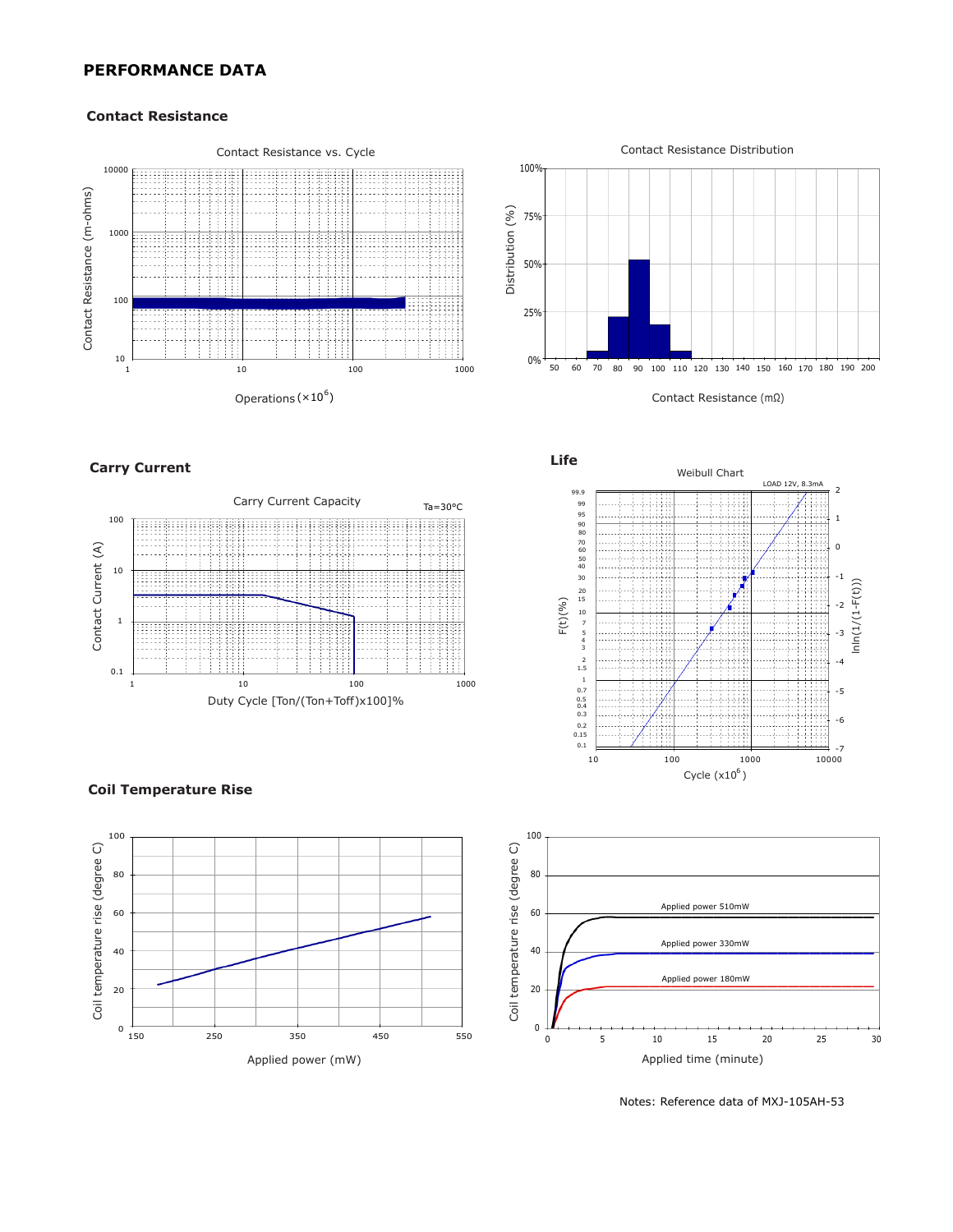# **PERFORMANCE DATA**

#### **Contact Resistance**





### **Carry Current**









Notes: Reference data of MXJ-105AH-53

#### **Coil Temperature Rise**